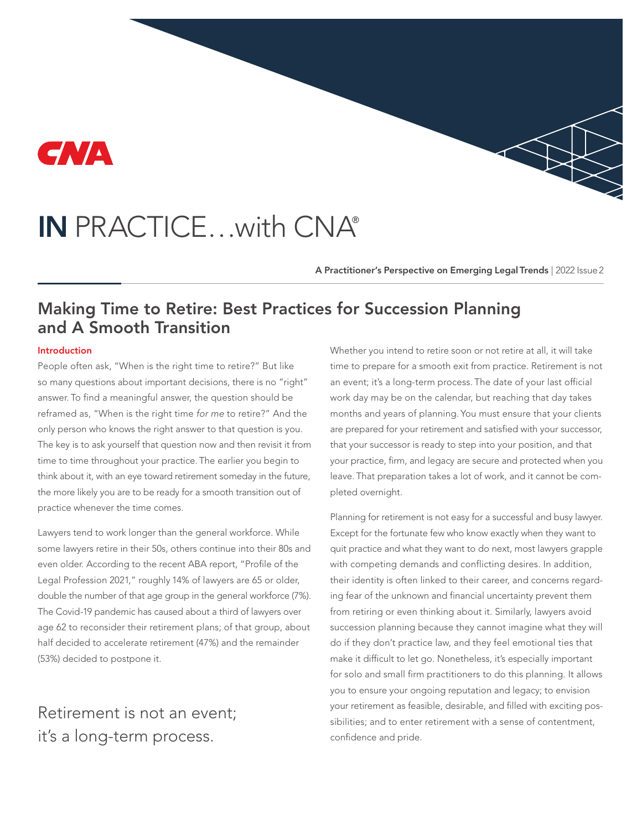

# IN PRACTICE…with CNA®

A Practitioner's Perspective on Emerging Legal Trends | 2022 Issue 2

# Making Time to Retire: Best Practices for Succession Planning and A Smooth Transition

#### Introduction

People often ask, "When is the right time to retire?" But like so many questions about important decisions, there is no "right" answer. To find a meaningful answer, the question should be reframed as, "When is the right time *for me* to retire?" And the only person who knows the right answer to that question is you. The key is to ask yourself that question now and then revisit it from time to time throughout your practice. The earlier you begin to think about it, with an eye toward retirement someday in the future, the more likely you are to be ready for a smooth transition out of practice whenever the time comes.

Lawyers tend to work longer than the general workforce. While some lawyers retire in their 50s, others continue into their 80s and even older. According to the recent ABA report, "Profile of the Legal Profession 2021," roughly 14% of lawyers are 65 or older, double the number of that age group in the general workforce (7%). The Covid-19 pandemic has caused about a third of lawyers over age 62 to reconsider their retirement plans; of that group, about half decided to accelerate retirement (47%) and the remainder (53%) decided to postpone it.

Retirement is not an event; it's a long-term process.

Whether you intend to retire soon or not retire at all, it will take time to prepare for a smooth exit from practice. Retirement is not an event; it's a long-term process. The date of your last official work day may be on the calendar, but reaching that day takes months and years of planning. You must ensure that your clients are prepared for your retirement and satisfied with your successor, that your successor is ready to step into your position, and that your practice, firm, and legacy are secure and protected when you leave. That preparation takes a lot of work, and it cannot be completed overnight.

Planning for retirement is not easy for a successful and busy lawyer. Except for the fortunate few who know exactly when they want to quit practice and what they want to do next, most lawyers grapple with competing demands and conflicting desires. In addition, their identity is often linked to their career, and concerns regarding fear of the unknown and financial uncertainty prevent them from retiring or even thinking about it. Similarly, lawyers avoid succession planning because they cannot imagine what they will do if they don't practice law, and they feel emotional ties that make it difficult to let go. Nonetheless, it's especially important for solo and small firm practitioners to do this planning. It allows you to ensure your ongoing reputation and legacy; to envision your retirement as feasible, desirable, and filled with exciting possibilities; and to enter retirement with a sense of contentment, confidence and pride.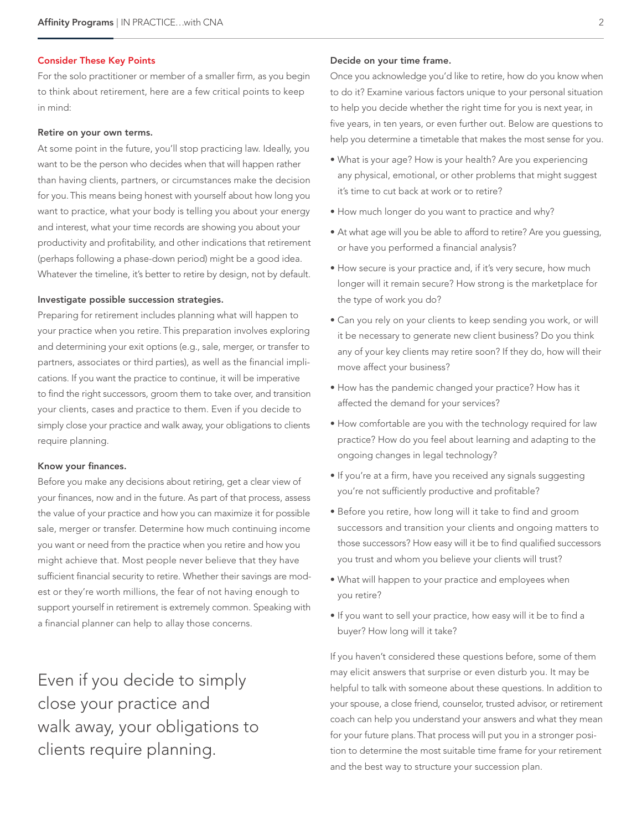#### Consider These Key Points

For the solo practitioner or member of a smaller firm, as you begin to think about retirement, here are a few critical points to keep in mind:

#### Retire on your own terms.

At some point in the future, you'll stop practicing law. Ideally, you want to be the person who decides when that will happen rather than having clients, partners, or circumstances make the decision for you. This means being honest with yourself about how long you want to practice, what your body is telling you about your energy and interest, what your time records are showing you about your productivity and profitability, and other indications that retirement (perhaps following a phase-down period) might be a good idea. Whatever the timeline, it's better to retire by design, not by default.

#### Investigate possible succession strategies.

Preparing for retirement includes planning what will happen to your practice when you retire. This preparation involves exploring and determining your exit options (e.g., sale, merger, or transfer to partners, associates or third parties), as well as the financial implications. If you want the practice to continue, it will be imperative to find the right successors, groom them to take over, and transition your clients, cases and practice to them. Even if you decide to simply close your practice and walk away, your obligations to clients require planning.

#### Know your finances.

Before you make any decisions about retiring, get a clear view of your finances, now and in the future. As part of that process, assess the value of your practice and how you can maximize it for possible sale, merger or transfer. Determine how much continuing income you want or need from the practice when you retire and how you might achieve that. Most people never believe that they have sufficient financial security to retire. Whether their savings are modest or they're worth millions, the fear of not having enough to support yourself in retirement is extremely common. Speaking with a financial planner can help to allay those concerns.

Even if you decide to simply close your practice and walk away, your obligations to clients require planning.

#### Decide on your time frame.

Once you acknowledge you'd like to retire, how do you know when to do it? Examine various factors unique to your personal situation to help you decide whether the right time for you is next year, in five years, in ten years, or even further out. Below are questions to help you determine a timetable that makes the most sense for you.

- What is your age? How is your health? Are you experiencing any physical, emotional, or other problems that might suggest it's time to cut back at work or to retire?
- How much longer do you want to practice and why?
- At what age will you be able to afford to retire? Are you guessing, or have you performed a financial analysis?
- How secure is your practice and, if it's very secure, how much longer will it remain secure? How strong is the marketplace for the type of work you do?
- Can you rely on your clients to keep sending you work, or will it be necessary to generate new client business? Do you think any of your key clients may retire soon? If they do, how will their move affect your business?
- How has the pandemic changed your practice? How has it affected the demand for your services?
- How comfortable are you with the technology required for law practice? How do you feel about learning and adapting to the ongoing changes in legal technology?
- If you're at a firm, have you received any signals suggesting you're not sufficiently productive and profitable?
- Before you retire, how long will it take to find and groom successors and transition your clients and ongoing matters to those successors? How easy will it be to find qualified successors you trust and whom you believe your clients will trust?
- What will happen to your practice and employees when you retire?
- If you want to sell your practice, how easy will it be to find a buyer? How long will it take?

If you haven't considered these questions before, some of them may elicit answers that surprise or even disturb you. It may be helpful to talk with someone about these questions. In addition to your spouse, a close friend, counselor, trusted advisor, or retirement coach can help you understand your answers and what they mean for your future plans. That process will put you in a stronger position to determine the most suitable time frame for your retirement and the best way to structure your succession plan.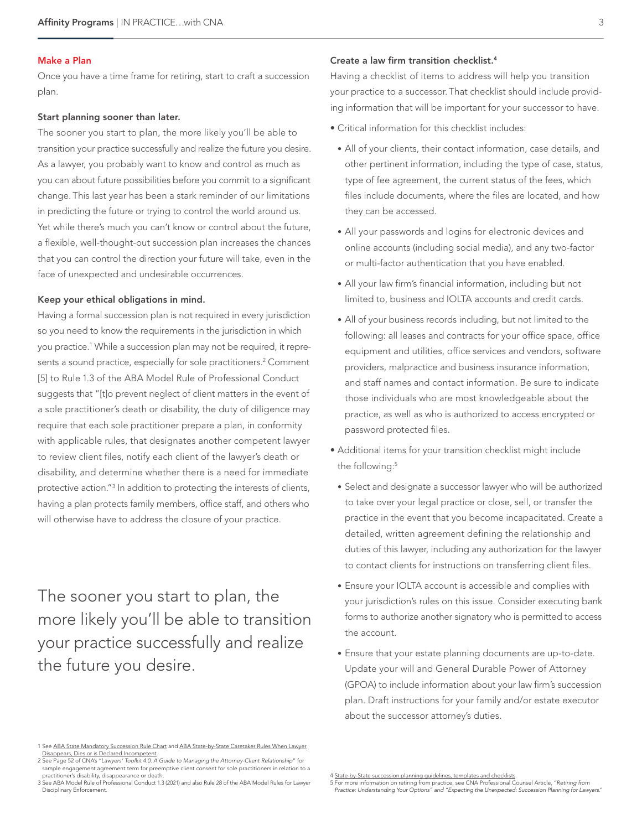#### Make a Plan

Once you have a time frame for retiring, start to craft a succession plan.

#### Start planning sooner than later.

The sooner you start to plan, the more likely you'll be able to transition your practice successfully and realize the future you desire. As a lawyer, you probably want to know and control as much as you can about future possibilities before you commit to a significant change. This last year has been a stark reminder of our limitations in predicting the future or trying to control the world around us. Yet while there's much you can't know or control about the future, a flexible, well-thought-out succession plan increases the chances that you can control the direction your future will take, even in the face of unexpected and undesirable occurrences.

#### Keep your ethical obligations in mind.

Having a formal succession plan is not required in every jurisdiction so you need to know the requirements in the jurisdiction in which you practice.1 While a succession plan may not be required, it represents a sound practice, especially for sole practitioners.<sup>2</sup> Comment [5] to Rule 1.3 of the ABA Model Rule of Professional Conduct suggests that "[t]o prevent neglect of client matters in the event of a sole practitioner's death or disability, the duty of diligence may require that each sole practitioner prepare a plan, in conformity with applicable rules, that designates another competent lawyer to review client files, notify each client of the lawyer's death or disability, and determine whether there is a need for immediate protective action."3 In addition to protecting the interests of clients, having a plan protects family members, office staff, and others who will otherwise have to address the closure of your practice.

The sooner you start to plan, the more likely you'll be able to transition your practice successfully and realize the future you desire.

#### Create a law firm transition checklist.4

Having a checklist of items to address will help you transition your practice to a successor. That checklist should include providing information that will be important for your successor to have.

- Critical information for this checklist includes:
	- All of your clients, their contact information, case details, and other pertinent information, including the type of case, status, type of fee agreement, the current status of the fees, which files include documents, where the files are located, and how they can be accessed.
	- All your passwords and logins for electronic devices and online accounts (including social media), and any two-factor or multi-factor authentication that you have enabled.
	- All your law firm's financial information, including but not limited to, business and IOLTA accounts and credit cards.
	- All of your business records including, but not limited to the following: all leases and contracts for your office space, office equipment and utilities, office services and vendors, software providers, malpractice and business insurance information, and staff names and contact information. Be sure to indicate those individuals who are most knowledgeable about the practice, as well as who is authorized to access encrypted or password protected files.
- Additional items for your transition checklist might include the following:<sup>5</sup>
	- Select and designate a successor lawyer who will be authorized to take over your legal practice or close, sell, or transfer the practice in the event that you become incapacitated. Create a detailed, written agreement defining the relationship and duties of this lawyer, including any authorization for the lawyer to contact clients for instructions on transferring client files.
	- Ensure your IOLTA account is accessible and complies with your jurisdiction's rules on this issue. Consider executing bank forms to authorize another signatory who is permitted to access the account.
	- Ensure that your estate planning documents are up-to-date. Update your will and General Durable Power of Attorney (GPOA) to include information about your law firm's succession plan. Draft instructions for your family and/or estate executor about the successor attorney's duties.

<sup>1</sup> See [ABA State Mandatory Succession Rule Chart](https://www.americanbar.org/content/dam/aba/administrative/professional_responsibility/lawyer-succession-planning-rule-chart.pdf) and [ABA State-by-State Caretaker Rules When Lawyer](https://www.americanbar.org/content/dam/aba/administrative/professional_responsibility/chart-state-by-state-caretaker-rules.pdf) [Disappears, Dies or is Declared Incompetent](https://www.americanbar.org/content/dam/aba/administrative/professional_responsibility/chart-state-by-state-caretaker-rules.pdf).

<sup>2</sup> See Page 52 of CNA's "*Lawyers' Toolkit 4.0: A Guide to Managing the Attorney-Client Relationship*" for sample engagement agreement term for preemptive client consent for sole practitioners in relation to a practitioner's disability, disappearance or death.

<sup>3</sup> See ABA Model Rule of Professional Conduct 1.3 (2021) and also Rule 28 of the ABA Model Rules for Lawyer Disciplinary Enforcement.

<sup>4</sup> [State-by-State succession planning guidelines, templates and checklists.](https://www.americanbar.org/groups/professional_responsibility/resources/lawyersintransition/successionplanning/)

<sup>5</sup> For more information on retiring from practice, see CNA Professional Counsel Article, "*Retiring from Practice: Understanding Your Options" and "Expecting the Unexpected: Succession Planning for Lawyers.*"